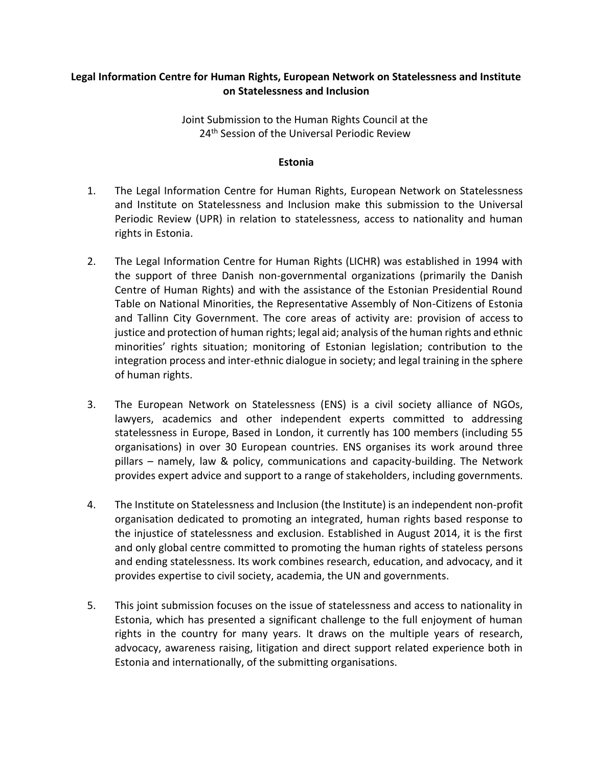# **Legal Information Centre for Human Rights, European Network on Statelessness and Institute on Statelessness and Inclusion**

Joint Submission to the Human Rights Council at the 24<sup>th</sup> Session of the Universal Periodic Review

#### **Estonia**

- 1. The Legal Information Centre for Human Rights, European Network on Statelessness and Institute on Statelessness and Inclusion make this submission to the Universal Periodic Review (UPR) in relation to statelessness, access to nationality and human rights in Estonia.
- 2. The Legal Information Centre for Human Rights (LICHR) was established in 1994 with the support of three Danish non-governmental organizations (primarily the Danish Centre of Human Rights) and with the assistance of the Estonian Presidential Round Table on National Minorities, the Representative Assembly of Non-Citizens of Estonia and Tallinn City Government. The core areas of activity are: provision of access to justice and protection of human rights; legal aid; analysis of the human rights and ethnic minorities' rights situation; monitoring of Estonian legislation; contribution to the integration process and inter-ethnic dialogue in society; and legal training in the sphere of human rights.
- 3. The European Network on Statelessness (ENS) is a civil society alliance of NGOs, lawyers, academics and other independent experts committed to addressing statelessness in Europe, Based in London, it currently has 100 members (including 55 organisations) in over 30 European countries. ENS organises its work around three pillars – namely, law & policy, communications and capacity-building. The Network provides expert advice and support to a range of stakeholders, including governments.
- 4. The Institute on Statelessness and Inclusion (the Institute) is an independent non-profit organisation dedicated to promoting an integrated, human rights based response to the injustice of statelessness and exclusion. Established in August 2014, it is the first and only global centre committed to promoting the human rights of stateless persons and ending statelessness. Its work combines research, education, and advocacy, and it provides expertise to civil society, academia, the UN and governments.
- 5. This joint submission focuses on the issue of statelessness and access to nationality in Estonia, which has presented a significant challenge to the full enjoyment of human rights in the country for many years. It draws on the multiple years of research, advocacy, awareness raising, litigation and direct support related experience both in Estonia and internationally, of the submitting organisations.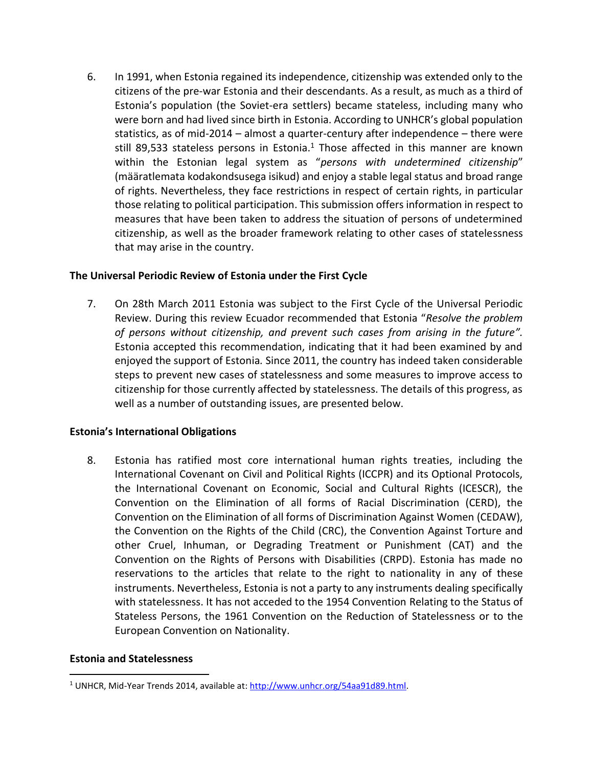6. In 1991, when Estonia regained its independence, citizenship was extended only to the citizens of the pre-war Estonia and their descendants. As a result, as much as a third of Estonia's population (the Soviet-era settlers) became stateless, including many who were born and had lived since birth in Estonia. According to UNHCR's global population statistics, as of mid-2014 – almost a quarter-century after independence – there were still 89,533 stateless persons in Estonia.<sup>1</sup> Those affected in this manner are known within the Estonian legal system as "*persons with undetermined citizenship*" (määratlemata kodakondsusega isikud) and enjoy a stable legal status and broad range of rights. Nevertheless, they face restrictions in respect of certain rights, in particular those relating to political participation. This submission offers information in respect to measures that have been taken to address the situation of persons of undetermined citizenship, as well as the broader framework relating to other cases of statelessness that may arise in the country.

### **The Universal Periodic Review of Estonia under the First Cycle**

7. On 28th March 2011 Estonia was subject to the First Cycle of the Universal Periodic Review. During this review Ecuador recommended that Estonia "*Resolve the problem of persons without citizenship, and prevent such cases from arising in the future".*  Estonia accepted this recommendation, indicating that it had been examined by and enjoyed the support of Estonia*.* Since 2011, the country has indeed taken considerable steps to prevent new cases of statelessness and some measures to improve access to citizenship for those currently affected by statelessness. The details of this progress, as well as a number of outstanding issues, are presented below.

### **Estonia's International Obligations**

8. Estonia has ratified most core international human rights treaties, including the International Covenant on Civil and Political Rights (ICCPR) and its Optional Protocols, the International Covenant on Economic, Social and Cultural Rights (ICESCR), the Convention on the Elimination of all forms of Racial Discrimination (CERD), the Convention on the Elimination of all forms of Discrimination Against Women (CEDAW), the Convention on the Rights of the Child (CRC), the Convention Against Torture and other Cruel, Inhuman, or Degrading Treatment or Punishment (CAT) and the Convention on the Rights of Persons with Disabilities (CRPD). Estonia has made no reservations to the articles that relate to the right to nationality in any of these instruments. Nevertheless, Estonia is not a party to any instruments dealing specifically with statelessness. It has not acceded to the 1954 Convention Relating to the Status of Stateless Persons, the 1961 Convention on the Reduction of Statelessness or to the European Convention on Nationality.

### **Estonia and Statelessness**

 $\overline{\phantom{a}}$ 

<sup>1</sup> UNHCR, Mid-Year Trends 2014, available at: [http://www.unhcr.org/54aa91d89.html.](http://www.unhcr.org/54aa91d89.html)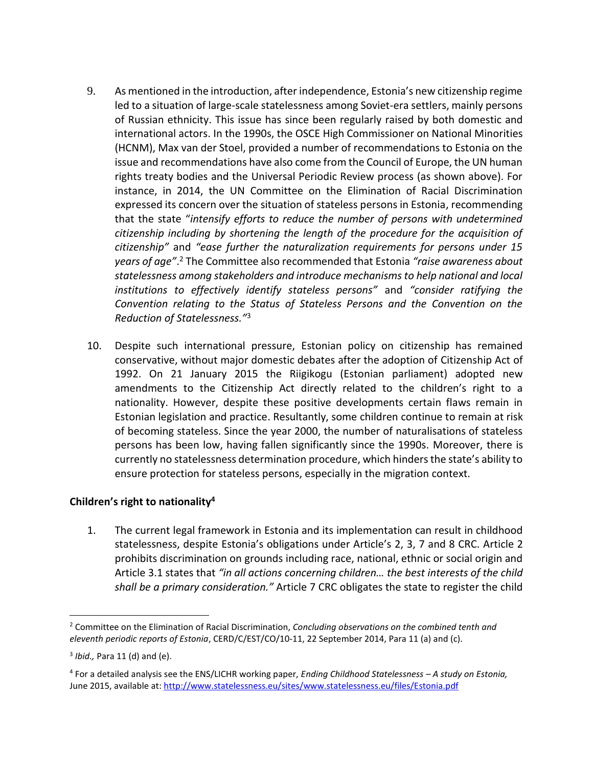- 9. As mentioned in the introduction, after independence, Estonia's new citizenship regime led to a situation of large-scale statelessness among Soviet-era settlers, mainly persons of Russian ethnicity. This issue has since been regularly raised by both domestic and international actors. In the 1990s, the OSCE High Commissioner on National Minorities (HCNM), Max van der Stoel, provided a number of recommendations to Estonia on the issue and recommendations have also come from the Council of Europe, the UN human rights treaty bodies and the Universal Periodic Review process (as shown above). For instance, in 2014, the UN Committee on the Elimination of Racial Discrimination expressed its concern over the situation of stateless persons in Estonia, recommending that the state "*intensify efforts to reduce the number of persons with undetermined citizenship including by shortening the length of the procedure for the acquisition of citizenship"* and *"ease further the naturalization requirements for persons under 15 years of age"*. <sup>2</sup> The Committee also recommended that Estonia *"raise awareness about statelessness among stakeholders and introduce mechanisms to help national and local institutions to effectively identify stateless persons"* and *"consider ratifying the Convention relating to the Status of Stateless Persons and the Convention on the Reduction of Statelessness."*<sup>3</sup>
- 10. Despite such international pressure, Estonian policy on citizenship has remained conservative, without major domestic debates after the adoption of Citizenship Act of 1992. On 21 January 2015 the Riigikogu (Estonian parliament) adopted new amendments to the Citizenship Act directly related to the children's right to a nationality. However, despite these positive developments certain flaws remain in Estonian legislation and practice. Resultantly, some children continue to remain at risk of becoming stateless. Since the year 2000, the number of naturalisations of stateless persons has been low, having fallen significantly since the 1990s. Moreover, there is currently no statelessness determination procedure, which hinders the state's ability to ensure protection for stateless persons, especially in the migration context.

# **Children's right to nationality<sup>4</sup>**

1. The current legal framework in Estonia and its implementation can result in childhood statelessness, despite Estonia's obligations under Article's 2, 3, 7 and 8 CRC. Article 2 prohibits discrimination on grounds including race, national, ethnic or social origin and Article 3.1 states that *"in all actions concerning children… the best interests of the child shall be a primary consideration."* Article 7 CRC obligates the state to register the child

l

<sup>2</sup> Committee on the Elimination of Racial Discrimination, *Concluding observations on the combined tenth and eleventh periodic reports of Estonia*, CERD/C/EST/CO/10-11, 22 September 2014, Para 11 (a) and (c).

<sup>3</sup> *Ibid.,* Para 11 (d) and (e).

<sup>4</sup> For a detailed analysis see the ENS/LICHR working paper, *Ending Childhood Statelessness – A study on Estonia,*  June 2015, available at: <http://www.statelessness.eu/sites/www.statelessness.eu/files/Estonia.pdf>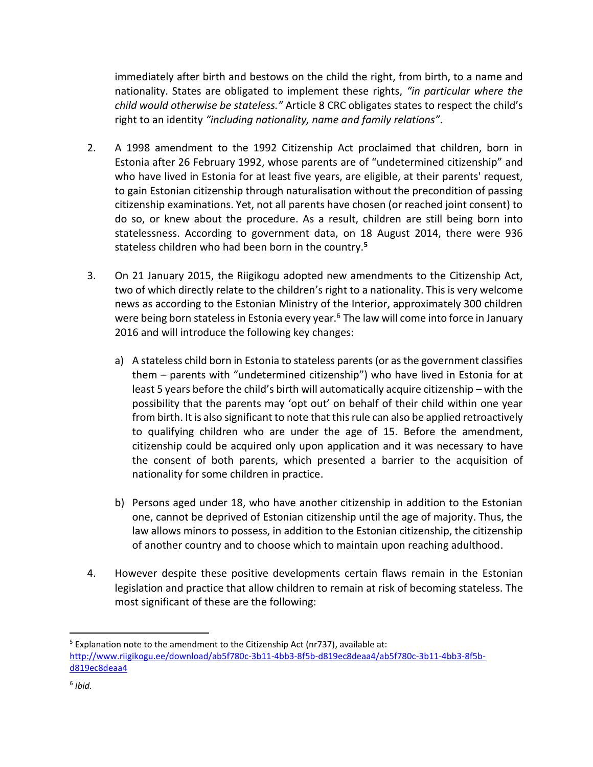immediately after birth and bestows on the child the right, from birth, to a name and nationality. States are obligated to implement these rights, *"in particular where the child would otherwise be stateless."* Article 8 CRC obligates states to respect the child's right to an identity *"including nationality, name and family relations"*.

- 2. A 1998 amendment to the 1992 Citizenship Act proclaimed that children, born in Estonia after 26 February 1992, whose parents are of "undetermined citizenship" and who have lived in Estonia for at least five years, are eligible, at their parents' request, to gain Estonian citizenship through naturalisation without the precondition of passing citizenship examinations. Yet, not all parents have chosen (or reached joint consent) to do so, or knew about the procedure. As a result, children are still being born into statelessness. According to government data, on 18 August 2014, there were 936 stateless children who had been born in the country.**<sup>5</sup>**
- 3. On 21 January 2015, the Riigikogu adopted new amendments to the Citizenship Act, two of which directly relate to the children's right to a nationality. This is very welcome news as according to the Estonian Ministry of the Interior, approximately 300 children were being born stateless in Estonia every year.<sup>6</sup> The law will come into force in January 2016 and will introduce the following key changes:
	- a) A stateless child born in Estonia to stateless parents (or as the government classifies them – parents with "undetermined citizenship") who have lived in Estonia for at least 5 years before the child's birth will automatically acquire citizenship – with the possibility that the parents may 'opt out' on behalf of their child within one year from birth. It is also significant to note that this rule can also be applied retroactively to qualifying children who are under the age of 15. Before the amendment, citizenship could be acquired only upon application and it was necessary to have the consent of both parents, which presented a barrier to the acquisition of nationality for some children in practice.
	- b) Persons aged under 18, who have another citizenship in addition to the Estonian one, cannot be deprived of Estonian citizenship until the age of majority. Thus, the law allows minors to possess, in addition to the Estonian citizenship, the citizenship of another country and to choose which to maintain upon reaching adulthood.
- 4. However despite these positive developments certain flaws remain in the Estonian legislation and practice that allow children to remain at risk of becoming stateless. The most significant of these are the following:

 $\overline{a}$ 

<sup>&</sup>lt;sup>5</sup> Explanation note to the amendment to the Citizenship Act (nr737), available at: [http://www.riigikogu.ee/download/ab5f780c-3b11-4bb3-8f5b-d819ec8deaa4/ab5f780c-3b11-4bb3-8f5b](http://www.riigikogu.ee/download/ab5f780c-3b11-4bb3-8f5b-d819ec8deaa4/ab5f780c-3b11-4bb3-8f5b-d819ec8deaa4)[d819ec8deaa4](http://www.riigikogu.ee/download/ab5f780c-3b11-4bb3-8f5b-d819ec8deaa4/ab5f780c-3b11-4bb3-8f5b-d819ec8deaa4)

<sup>6</sup> *Ibid.*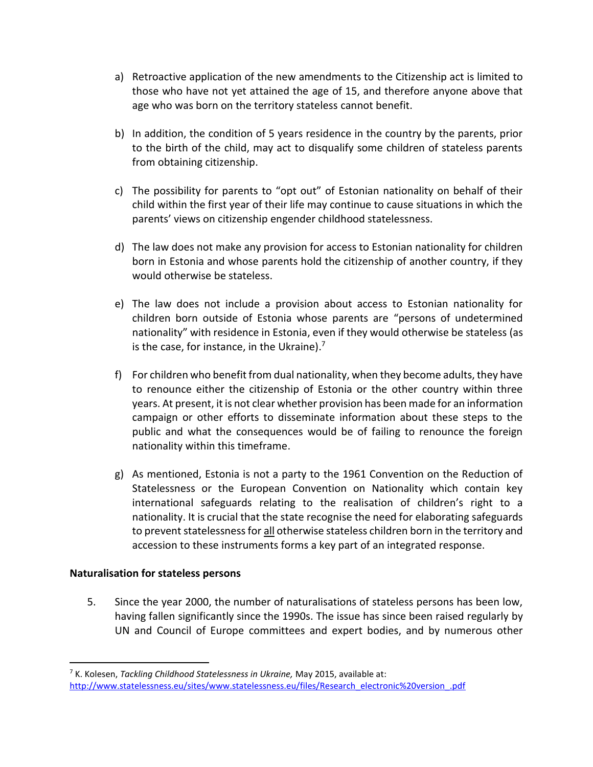- a) Retroactive application of the new amendments to the Citizenship act is limited to those who have not yet attained the age of 15, and therefore anyone above that age who was born on the territory stateless cannot benefit.
- b) In addition, the condition of 5 years residence in the country by the parents, prior to the birth of the child, may act to disqualify some children of stateless parents from obtaining citizenship.
- c) The possibility for parents to "opt out" of Estonian nationality on behalf of their child within the first year of their life may continue to cause situations in which the parents' views on citizenship engender childhood statelessness.
- d) The law does not make any provision for access to Estonian nationality for children born in Estonia and whose parents hold the citizenship of another country, if they would otherwise be stateless.
- e) The law does not include a provision about access to Estonian nationality for children born outside of Estonia whose parents are "persons of undetermined nationality" with residence in Estonia, even if they would otherwise be stateless (as is the case, for instance, in the Ukraine).<sup>7</sup>
- f) For children who benefit from dual nationality, when they become adults, they have to renounce either the citizenship of Estonia or the other country within three years. At present, it is not clear whether provision has been made for an information campaign or other efforts to disseminate information about these steps to the public and what the consequences would be of failing to renounce the foreign nationality within this timeframe.
- g) As mentioned, Estonia is not a party to the 1961 Convention on the Reduction of Statelessness or the European Convention on Nationality which contain key international safeguards relating to the realisation of children's right to a nationality. It is crucial that the state recognise the need for elaborating safeguards to prevent statelessness for all otherwise stateless children born in the territory and accession to these instruments forms a key part of an integrated response.

### **Naturalisation for stateless persons**

l

5. Since the year 2000, the number of naturalisations of stateless persons has been low, having fallen significantly since the 1990s. The issue has since been raised regularly by UN and Council of Europe committees and expert bodies, and by numerous other

<sup>7</sup> K. Kolesen, *Tackling Childhood Statelessness in Ukraine,* May 2015, available at: [http://www.statelessness.eu/sites/www.statelessness.eu/files/Research\\_electronic%20version\\_.pdf](http://www.statelessness.eu/sites/www.statelessness.eu/files/Research_electronic%20version_.pdf)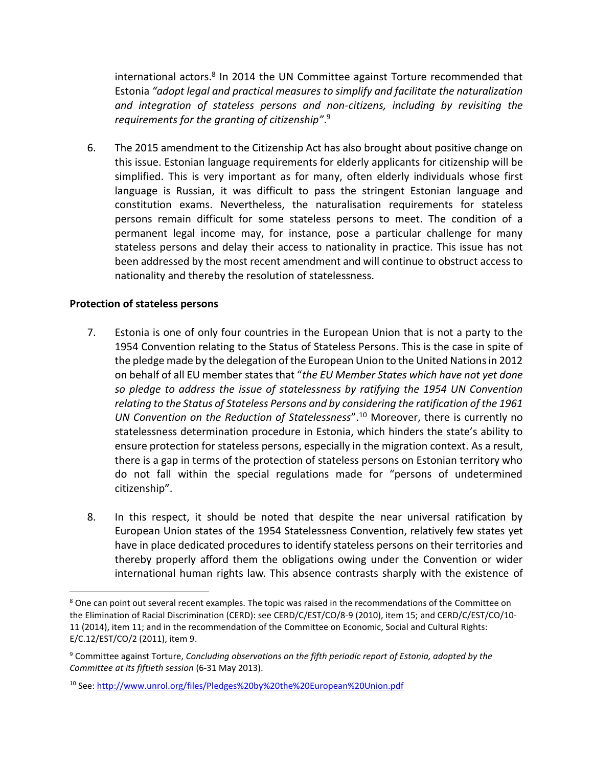international actors.<sup>8</sup> In 2014 the UN Committee against Torture recommended that Estonia *"adopt legal and practical measures to simplify and facilitate the naturalization and integration of stateless persons and non-citizens, including by revisiting the requirements for the granting of citizenship"*. 9

6. The 2015 amendment to the Citizenship Act has also brought about positive change on this issue. Estonian language requirements for elderly applicants for citizenship will be simplified. This is very important as for many, often elderly individuals whose first language is Russian, it was difficult to pass the stringent Estonian language and constitution exams. Nevertheless, the naturalisation requirements for stateless persons remain difficult for some stateless persons to meet. The condition of a permanent legal income may, for instance, pose a particular challenge for many stateless persons and delay their access to nationality in practice. This issue has not been addressed by the most recent amendment and will continue to obstruct access to nationality and thereby the resolution of statelessness.

### **Protection of stateless persons**

 $\overline{\phantom{a}}$ 

- 7. Estonia is one of only four countries in the European Union that is not a party to the 1954 Convention relating to the Status of Stateless Persons. This is the case in spite of the pledge made by the delegation of the European Union to the United Nations in 2012 on behalf of all EU member states that "*the EU Member States which have not yet done so pledge to address the issue of statelessness by ratifying the 1954 UN Convention relating to the Status of Stateless Persons and by considering the ratification of the 1961 UN Convention on the Reduction of Statelessness*".<sup>10</sup> Moreover, there is currently no statelessness determination procedure in Estonia, which hinders the state's ability to ensure protection for stateless persons, especially in the migration context. As a result, there is a gap in terms of the protection of stateless persons on Estonian territory who do not fall within the special regulations made for "persons of undetermined citizenship".
- 8. In this respect, it should be noted that despite the near universal ratification by European Union states of the 1954 Statelessness Convention, relatively few states yet have in place dedicated procedures to identify stateless persons on their territories and thereby properly afford them the obligations owing under the Convention or wider international human rights law. This absence contrasts sharply with the existence of

<sup>&</sup>lt;sup>8</sup> One can point out several recent examples. The topic was raised in the recommendations of the Committee on the Elimination of Racial Discrimination (CERD): see CERD/C/EST/CO/8-9 (2010), item 15; and CERD/C/EST/CO/10- 11 (2014), item 11; and in the recommendation of the Committee on Economic, Social and Cultural Rights: E/C.12/EST/CO/2 (2011), item 9.

<sup>9</sup> Committee against Torture, *Concluding observations on the fifth periodic report of Estonia, adopted by the Committee at its fiftieth session* (6-31 May 2013).

<sup>10</sup> See:<http://www.unrol.org/files/Pledges%20by%20the%20European%20Union.pdf>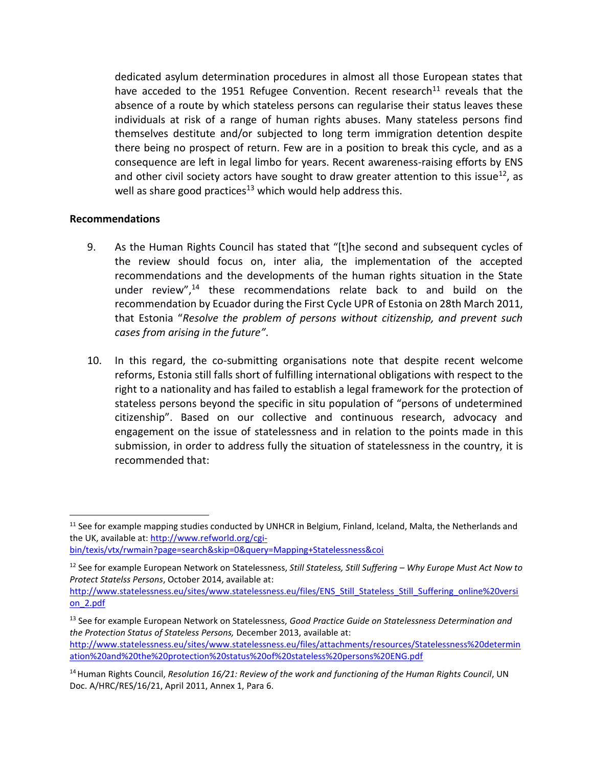dedicated asylum determination procedures in almost all those European states that have acceded to the 1951 Refugee Convention. Recent research<sup>11</sup> reveals that the absence of a route by which stateless persons can regularise their status leaves these individuals at risk of a range of human rights abuses. Many stateless persons find themselves destitute and/or subjected to long term immigration detention despite there being no prospect of return. Few are in a position to break this cycle, and as a consequence are left in legal limbo for years. Recent awareness-raising efforts by ENS and other civil society actors have sought to draw greater attention to this issue<sup>12</sup>, as well as share good practices<sup>13</sup> which would help address this.

### **Recommendations**

 $\overline{a}$ 

- 9. As the Human Rights Council has stated that "[t]he second and subsequent cycles of the review should focus on, inter alia, the implementation of the accepted recommendations and the developments of the human rights situation in the State under review",<sup>14</sup> these recommendations relate back to and build on the recommendation by Ecuador during the First Cycle UPR of Estonia on 28th March 2011, that Estonia "*Resolve the problem of persons without citizenship, and prevent such cases from arising in the future"*.
- 10. In this regard, the co-submitting organisations note that despite recent welcome reforms, Estonia still falls short of fulfilling international obligations with respect to the right to a nationality and has failed to establish a legal framework for the protection of stateless persons beyond the specific in situ population of "persons of undetermined citizenship". Based on our collective and continuous research, advocacy and engagement on the issue of statelessness and in relation to the points made in this submission, in order to address fully the situation of statelessness in the country, it is recommended that:

 $11$  See for example mapping studies conducted by UNHCR in Belgium, Finland, Iceland, Malta, the Netherlands and the UK, available at[: http://www.refworld.org/cgi-](http://www.refworld.org/cgi-bin/texis/vtx/rwmain?page=search&skip=0&query=Mapping+Statelessness&coi)

[bin/texis/vtx/rwmain?page=search&skip=0&query=Mapping+Statelessness&coi](http://www.refworld.org/cgi-bin/texis/vtx/rwmain?page=search&skip=0&query=Mapping+Statelessness&coi)

<sup>12</sup> See for example European Network on Statelessness, *Still Stateless, Still Suffering – Why Europe Must Act Now to Protect Statelss Persons*, October 2014, available at:

[http://www.statelessness.eu/sites/www.statelessness.eu/files/ENS\\_Still\\_Stateless\\_Still\\_Suffering\\_online%20versi](http://www.statelessness.eu/sites/www.statelessness.eu/files/ENS_Still_Stateless_Still_Suffering_online%20version_2.pdf) [on\\_2.pdf](http://www.statelessness.eu/sites/www.statelessness.eu/files/ENS_Still_Stateless_Still_Suffering_online%20version_2.pdf)

<sup>13</sup> See for example European Network on Statelessness, *Good Practice Guide on Statelessness Determination and the Protection Status of Stateless Persons,* December 2013, available at:

[http://www.statelessness.eu/sites/www.statelessness.eu/files/attachments/resources/Statelessness%20determin](http://www.statelessness.eu/sites/www.statelessness.eu/files/attachments/resources/Statelessness%20determination%20and%20the%20protection%20status%20of%20stateless%20persons%20ENG.pdf) [ation%20and%20the%20protection%20status%20of%20stateless%20persons%20ENG.pdf](http://www.statelessness.eu/sites/www.statelessness.eu/files/attachments/resources/Statelessness%20determination%20and%20the%20protection%20status%20of%20stateless%20persons%20ENG.pdf)

<sup>&</sup>lt;sup>14</sup> Human Rights Council, *Resolution 16/21: Review of the work and functioning of the Human Rights Council, UN* Doc. A/HRC/RES/16/21, April 2011, Annex 1, Para 6.